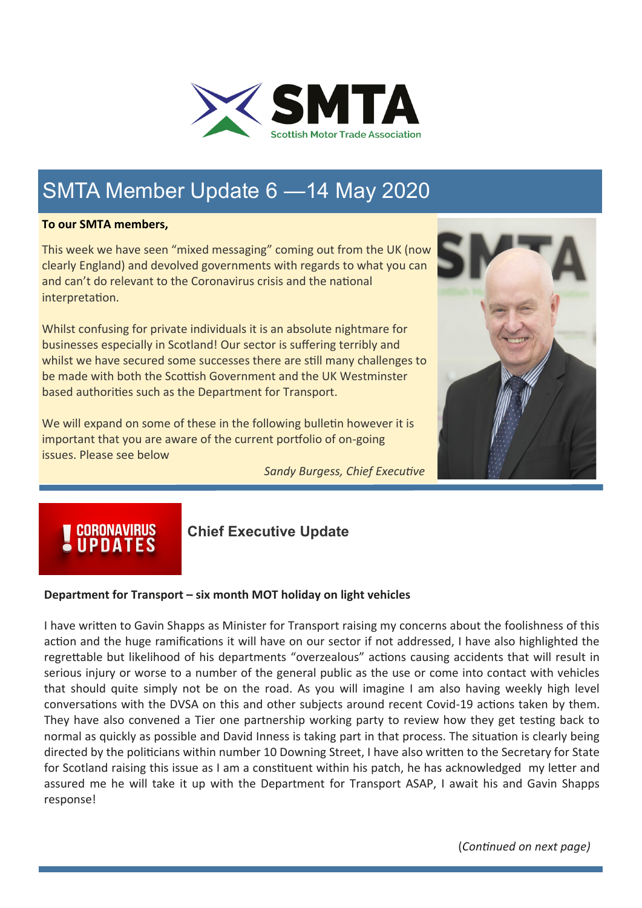

## SMTA Member Update 6 —14 May 2020

#### **To our SMTA members,**

This week we have seen "mixed messaging" coming out from the UK (now clearly England) and devolved governments with regards to what you can and can't do relevant to the Coronavirus crisis and the national interpretation.

Whilst confusing for private individuals it is an absolute nightmare for businesses especially in Scotland! Our sector is suffering terribly and whilst we have secured some successes there are still many challenges to be made with both the Scottish Government and the UK Westminster based authorities such as the Department for Transport.

We will expand on some of these in the following bulletin however it is important that you are aware of the current portfolio of on-going issues. Please see below

*Sandy Burgess, Chief Executive* 



## **CORONAVIRUS**<br>UPDATES

### **Chief Executive Update**

#### **Department for Transport – six month MOT holiday on light vehicles**

I have written to Gavin Shapps as Minister for Transport raising my concerns about the foolishness of this action and the huge ramifications it will have on our sector if not addressed, I have also highlighted the regrettable but likelihood of his departments "overzealous" actions causing accidents that will result in serious injury or worse to a number of the general public as the use or come into contact with vehicles that should quite simply not be on the road. As you will imagine I am also having weekly high level conversations with the DVSA on this and other subjects around recent Covid-19 actions taken by them. They have also convened a Tier one partnership working party to review how they get testing back to normal as quickly as possible and David Inness is taking part in that process. The situation is clearly being directed by the politicians within number 10 Downing Street, I have also written to the Secretary for State for Scotland raising this issue as I am a constituent within his patch, he has acknowledged my letter and assured me he will take it up with the Department for Transport ASAP, I await his and Gavin Shapps response!

(*Continued on next page)*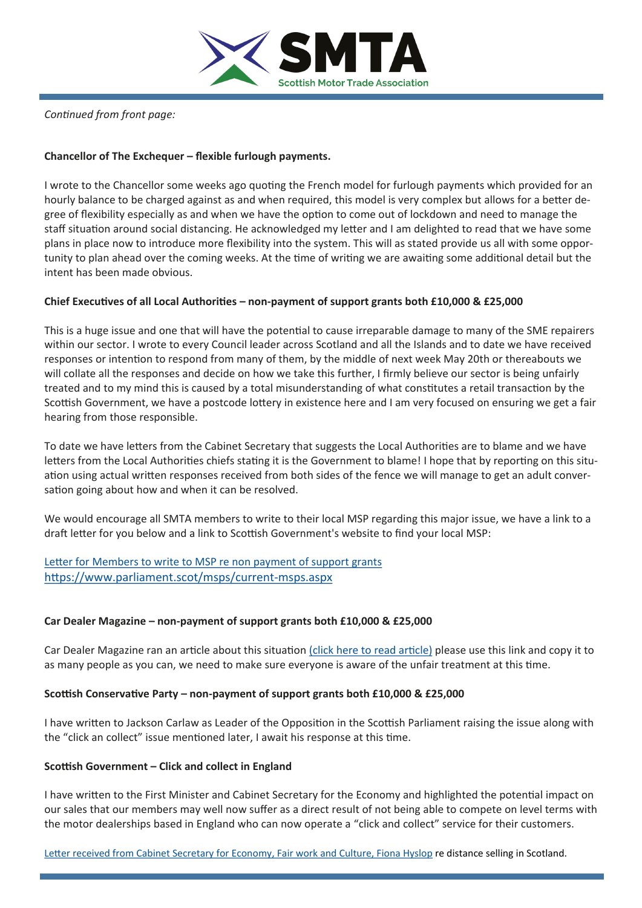

*Continued from front page:*

#### **Chancellor of The Exchequer – flexible furlough payments.**

I wrote to the Chancellor some weeks ago quoting the French model for furlough payments which provided for an hourly balance to be charged against as and when required, this model is very complex but allows for a better degree of flexibility especially as and when we have the option to come out of lockdown and need to manage the staff situation around social distancing. He acknowledged my letter and I am delighted to read that we have some plans in place now to introduce more flexibility into the system. This will as stated provide us all with some opportunity to plan ahead over the coming weeks. At the time of writing we are awaiting some additional detail but the intent has been made obvious.

#### **Chief Executives of all Local Authorities – non-payment of support grants both £10,000 & £25,000**

This is a huge issue and one that will have the potential to cause irreparable damage to many of the SME repairers within our sector. I wrote to every Council leader across Scotland and all the Islands and to date we have received responses or intention to respond from many of them, by the middle of next week May 20th or thereabouts we will collate all the responses and decide on how we take this further, I firmly believe our sector is being unfairly treated and to my mind this is caused by a total misunderstanding of what constitutes a retail transaction by the Scottish Government, we have a postcode lottery in existence here and I am very focused on ensuring we get a fair hearing from those responsible.

To date we have letters from the Cabinet Secretary that suggests the Local Authorities are to blame and we have letters from the Local Authorities chiefs stating it is the Government to blame! I hope that by reporting on this situation using actual written responses received from both sides of the fence we will manage to get an adult conversation going about how and when it can be resolved.

We would encourage all SMTA members to write to their local MSP regarding this major issue, we have a link to a draft letter for you below and a link to Scottish Government's website to find your local MSP:

[Letter for Members to write to MSP re non payment of support grants](https://mcusercontent.com/bdf98e99469992f275ef42fbe/files/c097037a-37bd-44cb-8951-093e32792126/Letter_for_SMTA_members_to_write_to_MSP_re_non_payment_of_Business_Support_grant.doc) [https://www.parliament.scot/msps/current](https://www.parliament.scot/msps/current-msps.aspx)-msps.aspx

#### **Car Dealer Magazine – non-payment of support grants both £10,000 & £25,000**

Car Dealer Magazine ran an article about this situation [\(click here to read article\)](https://cardealermagazine.co.uk/publish/smta-labels-covid-19-grant-relief-scotland-postcode-lottery/191787) please use this link and copy it to as many people as you can, we need to make sure everyone is aware of the unfair treatment at this time.

#### **Scottish Conservative Party – non-payment of support grants both £10,000 & £25,000**

I have written to Jackson Carlaw as Leader of the Opposition in the Scottish Parliament raising the issue along with the "click an collect" issue mentioned later, I await his response at this time.

#### **Scottish Government – Click and collect in England**

I have written to the First Minister and Cabinet Secretary for the Economy and highlighted the potential impact on our sales that our members may well now suffer as a direct result of not being able to compete on level terms with the motor dealerships based in England who can now operate a "click and collect" service for their customers.

[Letter received from Cabinet Secretary for Economy, Fair work and Culture, Fiona Hyslop](https://mcusercontent.com/bdf98e99469992f275ef42fbe/images/7db8359d-5324-4656-a8d2-9ea27d05d228.jpg) re distance selling in Scotland.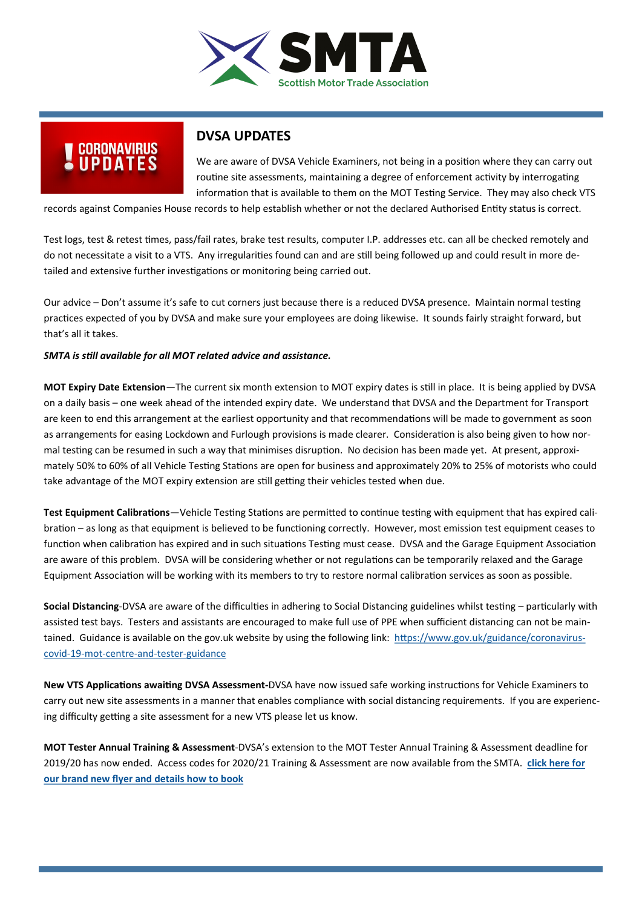

# UPDATES

### **DVSA UPDATES**

We are aware of DVSA Vehicle Examiners, not being in a position where they can carry out routine site assessments, maintaining a degree of enforcement activity by interrogating information that is available to them on the MOT Testing Service. They may also check VTS

records against Companies House records to help establish whether or not the declared Authorised Entity status is correct.

Test logs, test & retest times, pass/fail rates, brake test results, computer I.P. addresses etc. can all be checked remotely and do not necessitate a visit to a VTS. Any irregularities found can and are still being followed up and could result in more detailed and extensive further investigations or monitoring being carried out.

Our advice – Don't assume it's safe to cut corners just because there is a reduced DVSA presence. Maintain normal testing practices expected of you by DVSA and make sure your employees are doing likewise. It sounds fairly straight forward, but that's all it takes.

#### *SMTA is still available for all MOT related advice and assistance.*

**MOT Expiry Date Extension**—The current six month extension to MOT expiry dates is still in place. It is being applied by DVSA on a daily basis – one week ahead of the intended expiry date. We understand that DVSA and the Department for Transport are keen to end this arrangement at the earliest opportunity and that recommendations will be made to government as soon as arrangements for easing Lockdown and Furlough provisions is made clearer. Consideration is also being given to how normal testing can be resumed in such a way that minimises disruption. No decision has been made yet. At present, approximately 50% to 60% of all Vehicle Testing Stations are open for business and approximately 20% to 25% of motorists who could take advantage of the MOT expiry extension are still getting their vehicles tested when due.

**Test Equipment Calibrations**—Vehicle Testing Stations are permitted to continue testing with equipment that has expired calibration – as long as that equipment is believed to be functioning correctly. However, most emission test equipment ceases to function when calibration has expired and in such situations Testing must cease. DVSA and the Garage Equipment Association are aware of this problem. DVSA will be considering whether or not regulations can be temporarily relaxed and the Garage Equipment Association will be working with its members to try to restore normal calibration services as soon as possible.

**Social Distancing**-DVSA are aware of the difficulties in adhering to Social Distancing guidelines whilst testing – particularly with assisted test bays. Testers and assistants are encouraged to make full use of PPE when sufficient distancing can not be maintained. Guidance is available on the gov.uk website by using the following link: [https://www.gov.uk/guidance/coronavirus](https://www.gov.uk/guidance/coronavirus-covid-19-mot-centre-and-tester-guidance)covid-19-mot-centre-and-tester-[guidance](https://www.gov.uk/guidance/coronavirus-covid-19-mot-centre-and-tester-guidance)

**New VTS Applications awaiting DVSA Assessment-**DVSA have now issued safe working instructions for Vehicle Examiners to carry out new site assessments in a manner that enables compliance with social distancing requirements. If you are experiencing difficulty getting a site assessment for a new VTS please let us know.

**MOT Tester Annual Training & Assessment**-DVSA's extension to the MOT Tester Annual Training & Assessment deadline for 2019/20 has now ended. Access codes for 2020/21 Training & Assessment are now available from the SMTA. **[click here for](https://mcusercontent.com/bdf98e99469992f275ef42fbe/files/6560d258-0948-441c-85c6-96c73d60173e/SMTA_A5_FLYER_MOT_ASSESSMENT_TRAINING_20202_21.pdf)  [our brand new flyer and details how to book](https://mcusercontent.com/bdf98e99469992f275ef42fbe/files/6560d258-0948-441c-85c6-96c73d60173e/SMTA_A5_FLYER_MOT_ASSESSMENT_TRAINING_20202_21.pdf)**